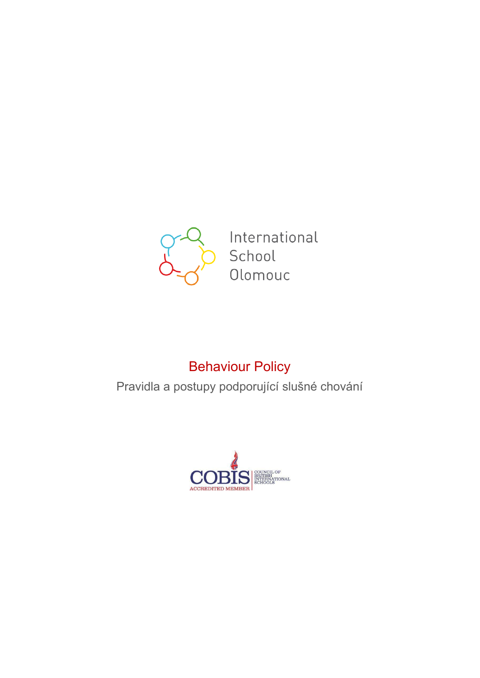

International School Olomouc

# Behaviour Policy

Pravidla a postupy podporující slušné chování

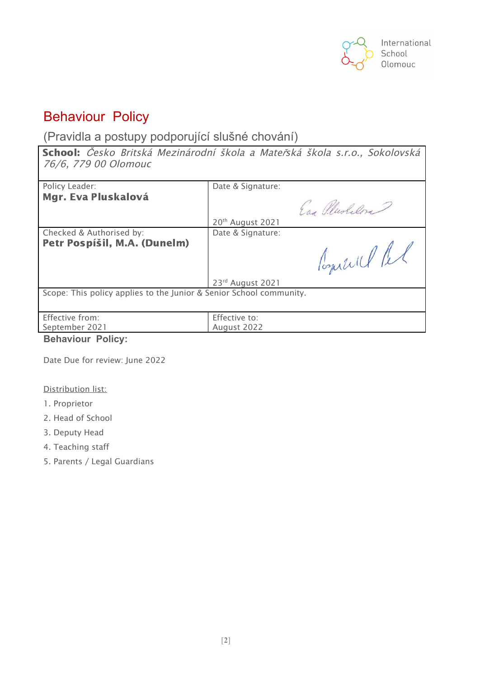

## Behaviour Policy

(Pravidla a postupy podporující slušné chování)

School: *Č*esko Britská Mezinárodní škola <sup>a</sup> Mate*ř*ská škola s.r.o., Sokolovská 76/6, 779 00 Olomouc

| Policy Leader:                                                      | Date & Signature:            |  |  |
|---------------------------------------------------------------------|------------------------------|--|--|
| Mgr. Eva Pluskalová                                                 |                              |  |  |
|                                                                     | Eng Plushelon                |  |  |
|                                                                     | 20 <sup>th</sup> August 2021 |  |  |
| Checked & Authorised by:                                            | Date & Signature:            |  |  |
| Petr Pospíšil, M.A. (Dunelm)                                        | Comell let                   |  |  |
|                                                                     | 23rd August 2021             |  |  |
| Scope: This policy applies to the Junior & Senior School community. |                              |  |  |
| Effective from:                                                     | Effective to:                |  |  |
| September 2021                                                      | August 2022                  |  |  |

**Behaviour Policy:**

Date Due for review: June 2022

### Distribution list:

- 1. Proprietor
- 2. Head of School
- 3. Deputy Head
- 4. Teaching staff
- 5. Parents / Legal Guardians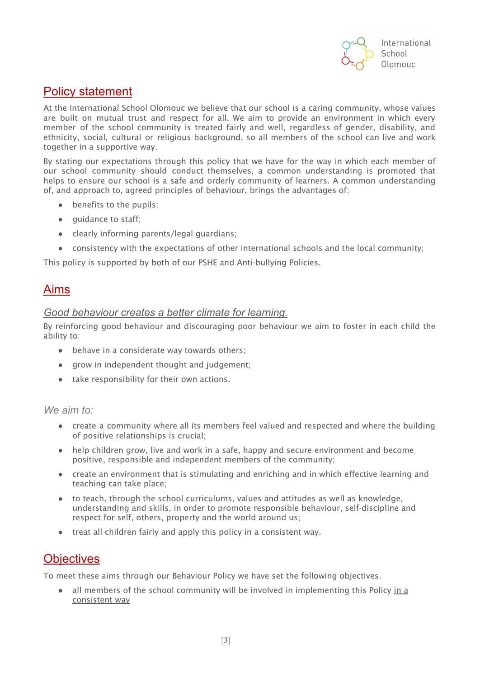

## Policy statement

At the International School Olomouc we believe that our school is a caring community, whose values are built on mutual trust and respect for all. We aim to provide an environment in which every member of the school community is treated fairly and well, regardless of gender, disability, and ethnicity, social, cultural or religious background, so all members of the school can live and work together in a supportive way.

By stating our expectations through this policy that we have for the way in which each member of our school community should conduct themselves, a common understanding is promoted that helps to ensure our school is a safe and orderly community of learners. A common understanding of, and approach to, agreed principles of behaviour, brings the advantages of:

- benefits to the pupils;
- guidance to staff;
- clearly informing parents/legal guardians;
- consistency with the expectations of other international schools and the local community;

This policy is supported by both of our PSHE and Anti-bullying Policies.

### Aims

### *Good behaviour creates a better climate for learning.*

By reinforcing good behaviour and discouraging poor behaviour we aim to foster in each child the ability to:

- behave in a considerate way towards others:
- grow in independent thought and judgement;
- take responsibility for their own actions.

### *We aim to:*

- create a community where all its members feel valued and respected and where the building of positive relationships is crucial;
- help children grow, live and work in a safe, happy and secure environment and become positive, responsible and independent members of the community;
- create an environment that is stimulating and enriching and in which effective learning and teaching can take place;
- to teach, through the school curriculums, values and attitudes as well as knowledge, understanding and skills, in order to promote responsible behaviour, self-discipline and respect for self, others, property and the world around us;
- treat all children fairly and apply this policy in a consistent way.

## **Objectives**

To meet these aims through our Behaviour Policy we have set the following objectives.

all members of the school community will be involved in implementing this Policy in a consistent way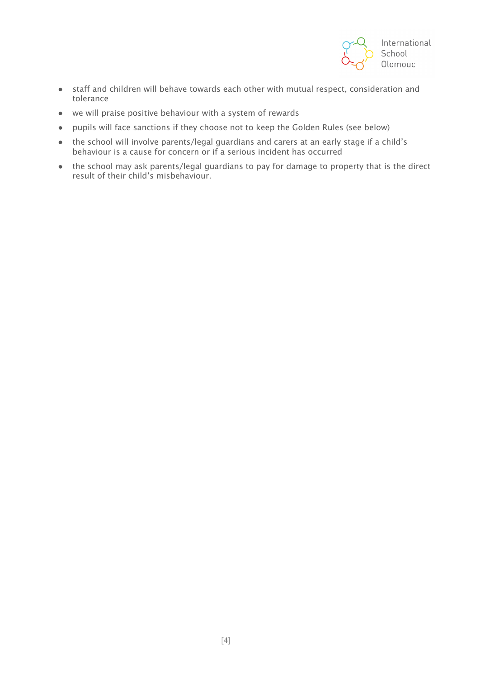

- staff and children will behave towards each other with mutual respect, consideration and tolerance
- we will praise positive behaviour with a system of rewards
- pupils will face sanctions if they choose not to keep the Golden Rules (see below)
- the school will involve parents/legal guardians and carers at an early stage if a child's behaviour is a cause for concern or if a serious incident has occurred
- the school may ask parents/legal guardians to pay for damage to property that is the direct result of their child's misbehaviour.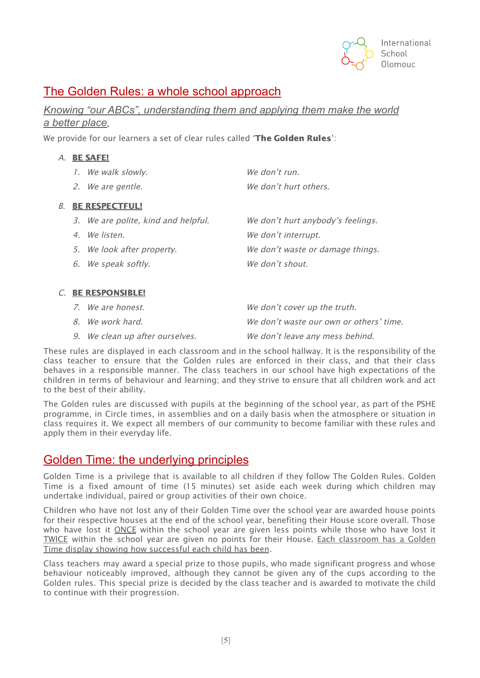

## The Golden Rules: a whole school approach

*Knowing "our ABCs", understanding them and applying them make the world a better place.*

We provide for our learners a set of clear rules called '**The Golden Rules**':

| <b>BE SAFE!</b> |                    |                       |  |
|-----------------|--------------------|-----------------------|--|
|                 | 1. We walk slowly. | We don't run.         |  |
|                 | 2. We are gentle.  | We don't hurt others. |  |

### B. BE RESPECTFUL!

 $A$ .

| 3. We are polite, kind and helpful. | We don't hurt anybody's feelings. |
|-------------------------------------|-----------------------------------|
| 4. We listen.                       | We don't interrupt.               |
| 5. We look after property.          | We don't waste or damage things.  |
| 6. We speak softly.                 | We don't shout.                   |

### C. BE RESPONSIBLE!

| 7. We are honest.               | We don't cover up the truth.            |
|---------------------------------|-----------------------------------------|
| 8. We work hard.                | We don't waste our own or others' time. |
| 9. We clean up after ourselves. | We don't leave any mess behind.         |

These rules are displayed in each classroom and in the school hallway. It is the responsibility of the class teacher to ensure that the Golden rules are enforced in their class, and that their class behaves in a responsible manner. The class teachers in our school have high expectations of the children in terms of behaviour and learning; and they strive to ensure that all children work and act to the best of their ability.

The Golden rules are discussed with pupils at the beginning of the school year, as part of the PSHE programme, in Circle times, in assemblies and on a daily basis when the atmosphere or situation in class requires it. We expect all members of our community to become familiar with these rules and apply them in their everyday life.

## Golden Time: the underlying principles

Golden Time is a privilege that is available to all children if they follow The Golden Rules. Golden Time is a fixed amount of time (15 minutes) set aside each week during which children may undertake individual, paired or group activities of their own choice.

Children who have not lost any of their Golden Time over the school year are awarded house points for their respective houses at the end of the school year, benefiting their House score overall. Those who have lost it ONCE within the school year are given less points while those who have lost it TWICE within the school year are given no points for their House. Each classroom has a Golden Time display showing how successful each child has been.

Class teachers may award a special prize to those pupils, who made significant progress and whose behaviour noticeably improved, although they cannot be given any of the cups according to the Golden rules. This special prize is decided by the class teacher and is awarded to motivate the child to continue with their progression.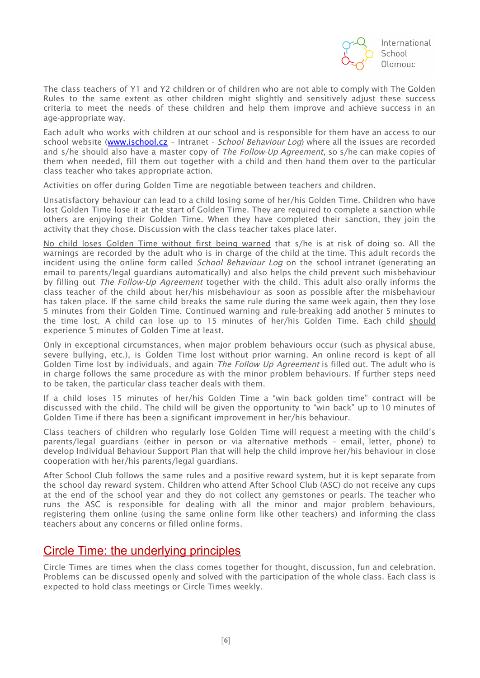

The class teachers of Y1 and Y2 children or of children who are not able to comply with The Golden Rules to the same extent as other children might slightly and sensitively adjust these success criteria to meet the needs of these children and help them improve and achieve success in an age-appropriate way.

Each adult who works with children at our school and is responsible for them have an access to our school website ([www.ischool.cz](http://www.ischool.cz/) - Intranet - School Behaviour Log) where all the issues are recorded and s/he should also have a master copy of *The Follow-Up Agreement*, so s/he can make copies of them when needed, fill them out together with a child and then hand them over to the particular class teacher who takes appropriate action.

Activities on offer during Golden Time are negotiable between teachers and children.

Unsatisfactory behaviour can lead to a child losing some of her/his Golden Time. Children who have lost Golden Time lose it at the start of Golden Time. They are required to complete a sanction while others are enjoying their Golden Time. When they have completed their sanction, they join the activity that they chose. Discussion with the class teacher takes place later.

No child loses Golden Time without first being warned that s/he is at risk of doing so. All the warnings are recorded by the adult who is in charge of the child at the time. This adult records the incident using the online form called *School Behaviour Log* on the school intranet (generating an email to parents/legal guardians automatically) and also helps the child prevent such misbehaviour by filling out *The Follow-Up Agreement* together with the child. This adult also orally informs the class teacher of the child about her/his misbehaviour as soon as possible after the misbehaviour has taken place. If the same child breaks the same rule during the same week again, then they lose 5 minutes from their Golden Time. Continued warning and rule-breaking add another 5 minutes to the time lost. A child can lose up to 15 minutes of her/his Golden Time. Each child should experience 5 minutes of Golden Time at least.

Only in exceptional circumstances, when major problem behaviours occur (such as physical abuse, severe bullying, etc.), is Golden Time lost without prior warning. An online record is kept of all Golden Time lost by individuals, and again The Follow Up Agreement is filled out. The adult who is in charge follows the same procedure as with the minor problem behaviours. If further steps need to be taken, the particular class teacher deals with them.

If a child loses 15 minutes of her/his Golden Time a "win back golden time" contract will be discussed with the child. The child will be given the opportunity to "win back" up to 10 minutes of Golden Time if there has been a significant improvement in her/his behaviour.

Class teachers of children who regularly lose Golden Time will request a meeting with the child's parents/legal guardians (either in person or via alternative methods – email, letter, phone) to develop Individual Behaviour Support Plan that will help the child improve her/his behaviour in close cooperation with her/his parents/legal guardians.

After School Club follows the same rules and a positive reward system, but it is kept separate from the school day reward system. Children who attend After School Club (ASC) do not receive any cups at the end of the school year and they do not collect any gemstones or pearls. The teacher who runs the ASC is responsible for dealing with all the minor and major problem behaviours, registering them online (using the same online form like other teachers) and informing the class teachers about any concerns or filled online forms.

## Circle Time: the underlying principles

Circle Times are times when the class comes together for thought, discussion, fun and celebration. Problems can be discussed openly and solved with the participation of the whole class. Each class is expected to hold class meetings or Circle Times weekly.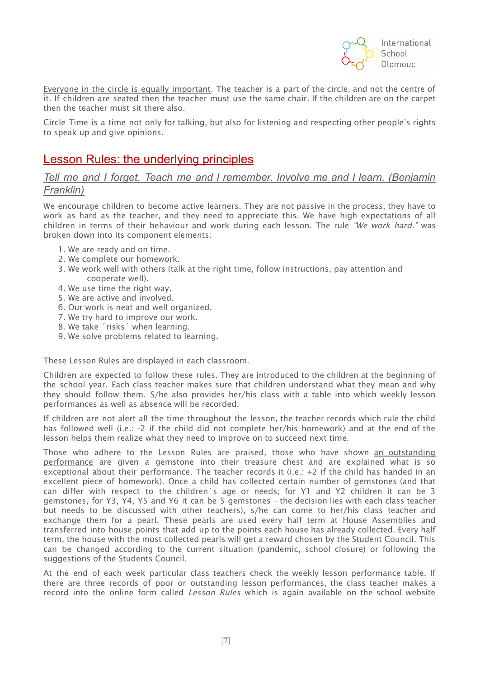

Everyone in the circle is equally important. The teacher is a part of the circle, and not the centre of it. If children are seated then the teacher must use the same chair. If the children are on the carpet then the teacher must sit there also.

Circle Time is a time not only for talking, but also for listening and respecting other people's rights to speak up and give opinions.

## Lesson Rules: the underlying principles

### *Tell me and I forget. Teach me and I remember. Involve me and I learn. (Benjamin Franklin)*

We encourage children to become active learners. They are not passive in the process, they have to work as hard as the teacher, and they need to appreciate this. We have high expectations of all children in terms of their behaviour and work during each lesson. The rule "We work hard." was broken down into its component elements:

- 1. We are ready and on time.
- 2. We complete our homework.
- 3. We work well with others (talk at the right time, follow instructions, pay attention and cooperate well).
- 4. We use time the right way.
- 5. We are active and involved.
- 6. Our work is neat and well organized.
- 7. We try hard to improve our work.
- 8. We take ´risks´ when learning.
- 9. We solve problems related to learning.

These Lesson Rules are displayed in each classroom.

Children are expected to follow these rules. They are introduced to the children at the beginning of the school year. Each class teacher makes sure that children understand what they mean and why they should follow them. S/he also provides her/his class with a table into which weekly lesson performances as well as absence will be recorded.

If children are not alert all the time throughout the lesson, the teacher records which rule the child has followed well (i.e.: -2 if the child did not complete her/his homework) and at the end of the lesson helps them realize what they need to improve on to succeed next time.

Those who adhere to the Lesson Rules are praised, those who have shown an outstanding performance are given a gemstone into their treasure chest and are explained what is so exceptional about their performance. The teacher records it (i.e.: +2 if the child has handed in an excellent piece of homework). Once a child has collected certain number of gemstones (and that can differ with respect to the children´s age or needs; for Y1 and Y2 children it can be 3 gemstones, for Y3, Y4, Y5 and Y6 it can be 5 gemstones – the decision lies with each class teacher but needs to be discussed with other teachers), s/he can come to her/his class teacher and exchange them for a pearl. These pearls are used every half term at House Assemblies and transferred into house points that add up to the points each house has already collected. Every half term, the house with the most collected pearls will get a reward chosen by the Student Council. This can be changed according to the current situation (pandemic, school closure) or following the suggestions of the Students Council.

At the end of each week particular class teachers check the weekly lesson performance table. If there are three records of poor or outstanding lesson performances, the class teacher makes a record into the online form called Lesson Rules which is again available on the school website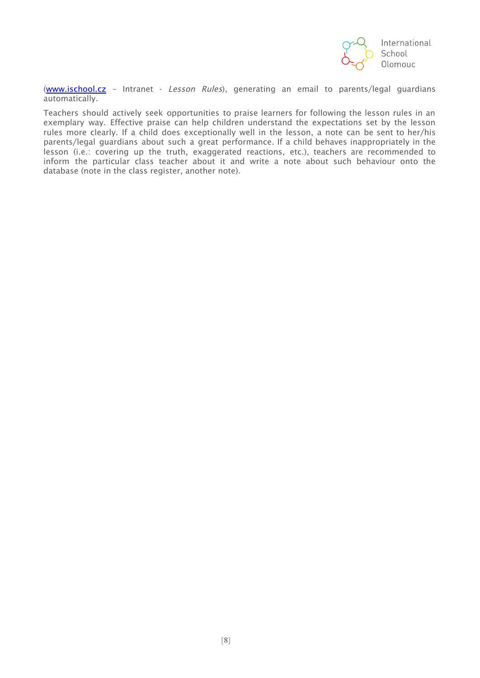

[\(www.ischool.cz](http://www.ischool.cz/) – Intranet - Lesson Rules), generating an email to parents/legal guardians automatically.

Teachers should actively seek opportunities to praise learners for following the lesson rules in an exemplary way. Effective praise can help children understand the expectations set by the lesson rules more clearly. If a child does exceptionally well in the lesson, a note can be sent to her/his parents/legal guardians about such a great performance. If a child behaves inappropriately in the lesson (i.e.: covering up the truth, exaggerated reactions, etc.), teachers are recommended to inform the particular class teacher about it and write a note about such behaviour onto the database (note in the class register, another note).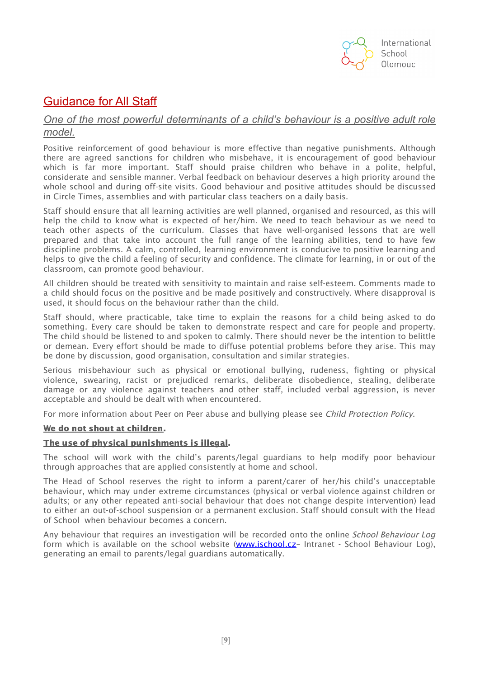

## Guidance for All Staff

### *One of the most powerful determinants of a child's behaviour is a positive adult role model.*

Positive reinforcement of good behaviour is more effective than negative punishments. Although there are agreed sanctions for children who misbehave, it is encouragement of good behaviour which is far more important. Staff should praise children who behave in a polite, helpful, considerate and sensible manner. Verbal feedback on behaviour deserves a high priority around the whole school and during off-site visits. Good behaviour and positive attitudes should be discussed in Circle Times, assemblies and with particular class teachers on a daily basis.

Staff should ensure that all learning activities are well planned, organised and resourced, as this will help the child to know what is expected of her/him. We need to teach behaviour as we need to teach other aspects of the curriculum. Classes that have well-organised lessons that are well prepared and that take into account the full range of the learning abilities, tend to have few discipline problems. A calm, controlled, learning environment is conducive to positive learning and helps to give the child a feeling of security and confidence. The climate for learning, in or out of the classroom, can promote good behaviour.

All children should be treated with sensitivity to maintain and raise self-esteem. Comments made to a child should focus on the positive and be made positively and constructively. Where disapproval is used, it should focus on the behaviour rather than the child.

Staff should, where practicable, take time to explain the reasons for a child being asked to do something. Every care should be taken to demonstrate respect and care for people and property. The child should be listened to and spoken to calmly. There should never be the intention to belittle or demean. Every effort should be made to diffuse potential problems before they arise. This may be done by discussion, good organisation, consultation and similar strategies.

Serious misbehaviour such as physical or emotional bullying, rudeness, fighting or physical violence, swearing, racist or prejudiced remarks, deliberate disobedience, stealing, deliberate damage or any violence against teachers and other staff, included verbal aggression, is never acceptable and should be dealt with when encountered.

For more information about Peer on Peer abuse and bullying please see *Child Protection Policy*.

### We do not shout at children.

### The use of physical punishments is illegal.

The school will work with the child's parents/legal guardians to help modify poor behaviour through approaches that are applied consistently at home and school.

The Head of School reserves the right to inform a parent/carer of her/his child's unacceptable behaviour, which may under extreme circumstances (physical or verbal violence against children or adults; or any other repeated anti-social behaviour that does not change despite intervention) lead to either an out-of-school suspension or a permanent exclusion. Staff should consult with the Head of School when behaviour becomes a concern.

Any behaviour that requires an investigation will be recorded onto the online School Behaviour Log form which is available on the school website (www.ischool.cz- Intranet - School Behaviour Log). generating an email to parents/legal guardians automatically.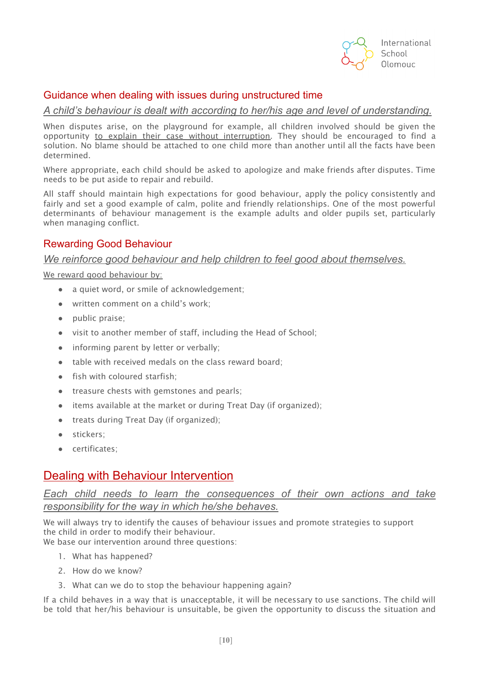

### Guidance when dealing with issues during unstructured time

*A child's behaviour is dealt with according to her/his age and level of understanding.*

When disputes arise, on the playground for example, all children involved should be given the opportunity to explain their case without interruption. They should be encouraged to find a solution. No blame should be attached to one child more than another until all the facts have been determined.

Where appropriate, each child should be asked to apologize and make friends after disputes. Time needs to be put aside to repair and rebuild.

All staff should maintain high expectations for good behaviour, apply the policy consistently and fairly and set a good example of calm, polite and friendly relationships. One of the most powerful determinants of behaviour management is the example adults and older pupils set, particularly when managing conflict.

### Rewarding Good Behaviour

### *We reinforce good behaviour and help children to feel good about themselves.*

We reward good behaviour by:

- a quiet word, or smile of acknowledgement;
- written comment on a child's work;
- public praise;
- visit to another member of staff, including the Head of School;
- informing parent by letter or verbally;
- table with received medals on the class reward board;
- fish with coloured starfish;
- treasure chests with gemstones and pearls;
- items available at the market or during Treat Day (if organized);
- treats during Treat Day (if organized);
- stickers;
- certificates;

## Dealing with Behaviour Intervention

*Each child needs to learn the consequences of their own actions and take responsibility for the way in which he/she behaves.*

We will always try to identify the causes of behaviour issues and promote strategies to support the child in order to modify their behaviour.

We base our intervention around three questions:

- 1. What has happened?
- 2. How do we know?
- 3. What can we do to stop the behaviour happening again?

If a child behaves in a way that is unacceptable, it will be necessary to use sanctions. The child will be told that her/his behaviour is unsuitable, be given the opportunity to discuss the situation and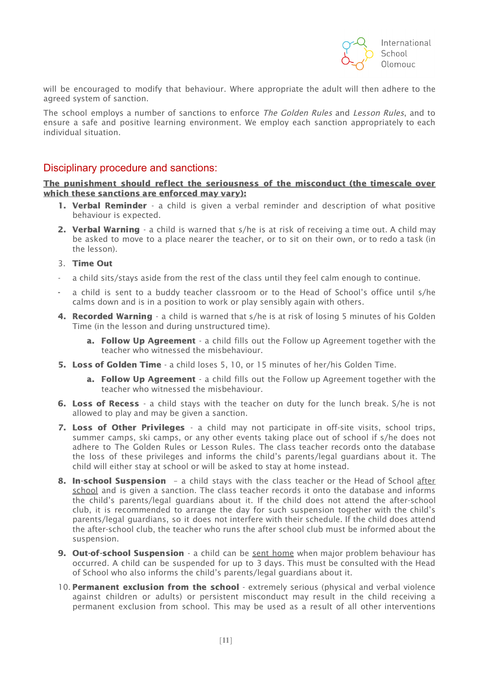

will be encouraged to modify that behaviour. Where appropriate the adult will then adhere to the agreed system of sanction.

The school employs a number of sanctions to enforce The Golden Rules and Lesson Rules, and to ensure a safe and positive learning environment. We employ each sanction appropriately to each individual situation.

### Disciplinary procedure and sanctions:

The punishment should reflect the seriousness of the misconduct (the timescale over which these sanctions are enforced may vary):

- **1. Verbal Reminder** a child is given a verbal reminder and description of what positive behaviour is expected.
- 2. Verbal Warning a child is warned that s/he is at risk of receiving a time out. A child may be asked to move to a place nearer the teacher, or to sit on their own, or to redo a task (in the lesson).
- 3. Time Out
- a child sits/stays aside from the rest of the class until they feel calm enough to continue.
- a child is sent to a buddy teacher classroom or to the Head of School's office until s/he calms down and is in a position to work or play sensibly again with others.
- 4. Recorded Warning a child is warned that s/he is at risk of losing 5 minutes of his Golden Time (in the lesson and during unstructured time).
	- a. Follow Up Agreement a child fills out the Follow up Agreement together with the teacher who witnessed the misbehaviour.
- 5. Loss of Golden Time a child loses 5, 10, or 15 minutes of her/his Golden Time.
	- a. Follow Up Agreement a child fills out the Follow up Agreement together with the teacher who witnessed the misbehaviour.
- **6. Loss of Recess** a child stays with the teacher on duty for the lunch break. S/he is not allowed to play and may be given a sanction.
- 7. Loss of Other Privileges a child may not participate in off-site visits, school trips, summer camps, ski camps, or any other events taking place out of school if s/he does not adhere to The Golden Rules or Lesson Rules. The class teacher records onto the database the loss of these privileges and informs the child's parents/legal guardians about it. The child will either stay at school or will be asked to stay at home instead.
- 8. In-school Suspension a child stays with the class teacher or the Head of School after school and is given a sanction. The class teacher records it onto the database and informs the child's parents/legal guardians about it. If the child does not attend the after-school club, it is recommended to arrange the day for such suspension together with the child's parents/legal guardians, so it does not interfere with their schedule. If the child does attend the after-school club, the teacher who runs the after school club must be informed about the suspension.
- 9. Out-of-school Suspension a child can be sent home when major problem behaviour has occurred. A child can be suspended for up to 3 days. This must be consulted with the Head of School who also informs the child's parents/legal guardians about it.
- 10. Permanent exclusion from the school extremely serious (physical and verbal violence against children or adults) or persistent misconduct may result in the child receiving a permanent exclusion from school. This may be used as a result of all other interventions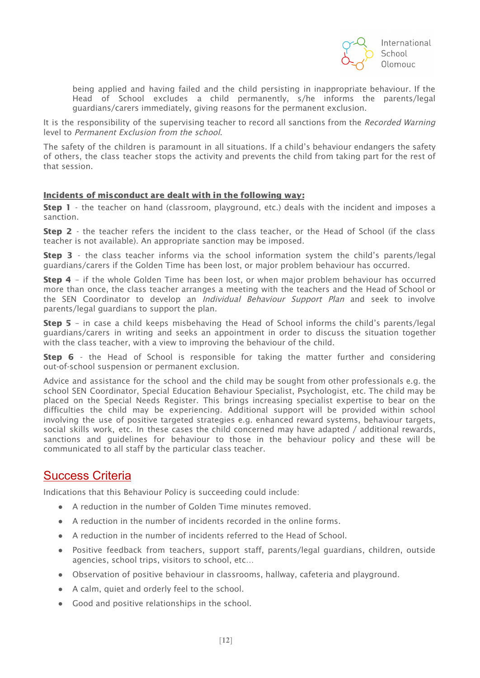

being applied and having failed and the child persisting in inappropriate behaviour. If the Head of School excludes a child permanently, s/he informs the parents/legal guardians/carers immediately, giving reasons for the permanent exclusion.

It is the responsibility of the supervising teacher to record all sanctions from the Recorded Warning level to Permanent Exclusion from the school.

The safety of the children is paramount in all situations. If a child's behaviour endangers the safety of others, the class teacher stops the activity and prevents the child from taking part for the rest of that session.

### Incidents of misconduct are dealt with in the following way:

**Step 1** - the teacher on hand (classroom, playground, etc.) deals with the incident and imposes a sanction.

Step 2 - the teacher refers the incident to the class teacher, or the Head of School (if the class teacher is not available). An appropriate sanction may be imposed.

**Step 3** - the class teacher informs via the school information system the child's parents/legal guardians/carers if the Golden Time has been lost, or major problem behaviour has occurred.

Step 4 - if the whole Golden Time has been lost, or when major problem behaviour has occurred more than once, the class teacher arranges a meeting with the teachers and the Head of School or the SEN Coordinator to develop an *Individual Behaviour Support Plan* and seek to involve parents/legal guardians to support the plan.

Step 5 – in case a child keeps misbehaving the Head of School informs the child's parents/legal guardians/carers in writing and seeks an appointment in order to discuss the situation together with the class teacher, with a view to improving the behaviour of the child.

**Step 6** - the Head of School is responsible for taking the matter further and considering out-of-school suspension or permanent exclusion.

Advice and assistance for the school and the child may be sought from other professionals e.g. the school SEN Coordinator, Special Education Behaviour Specialist, Psychologist, etc. The child may be placed on the Special Needs Register. This brings increasing specialist expertise to bear on the difficulties the child may be experiencing. Additional support will be provided within school involving the use of positive targeted strategies e.g. enhanced reward systems, behaviour targets, social skills work, etc. In these cases the child concerned may have adapted / additional rewards, sanctions and guidelines for behaviour to those in the behaviour policy and these will be communicated to all staff by the particular class teacher.

## Success Criteria

Indications that this Behaviour Policy is succeeding could include:

- A reduction in the number of Golden Time minutes removed.
- A reduction in the number of incidents recorded in the online forms.
- A reduction in the number of incidents referred to the Head of School.
- Positive feedback from teachers, support staff, parents/legal guardians, children, outside agencies, school trips, visitors to school, etc…
- Observation of positive behaviour in classrooms, hallway, cafeteria and playground.
- A calm, quiet and orderly feel to the school.
- Good and positive relationships in the school.